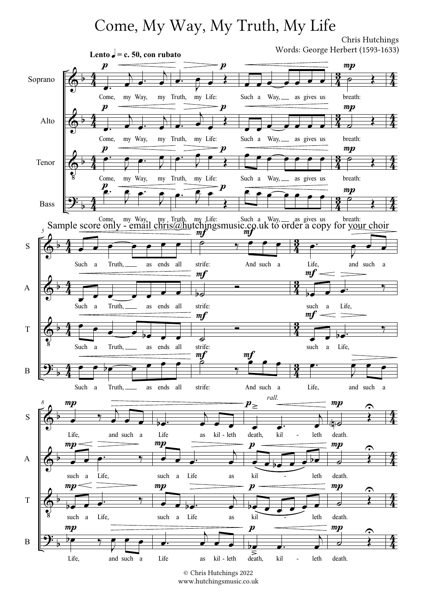## Come, My Way, My Truth, My Life

Chris Hutchings

 $\pmb{\Phi}$  $\pmb{\Phi}$  $\Phi$  $\overline{\mathbf{G}^{\mathbf{B}}_{\mathbf{C}}}$  $\frac{1}{2}$  $\frac{1}{2}$  $\frac{1}{2}$  $\frac{1}{2}$  $\frac{4}{3}$  $\frac{4}{4}$  $rac{4}{4}$  $rac{4}{4}$  $rac{1}{4}$  $rac{4}{\hbar}$  $\frac{4}{3}$  $\frac{4}{\ell}$  $\frac{2}{4}$  $\frac{3}{2}$  $rac{3}{4}$  $\frac{3}{2}$  $rac{3}{4}$  $\frac{3}{2}$  $\frac{3}{4}$  $\frac{3}{2}$  $\frac{4}{3}$  $rac{4}{\hbar}$  $rac{4}{4}$  $rac{4}{\hbar}$  $rac{1}{4}$  $rac{4}{\hbar}$  $\frac{4}{3}$  $\frac{4}{\hbar}$ Soprano Alto Tenor Bass Come,  $\overline{A}$  $\frac{\partial}{\partial t}$  $\overline{A}$  $\frac{1}{\bullet}$ my Way, my Truth,  $\overline{\phantom{a}}$  $\overline{A}$  $\overrightarrow{c}$  $\overline{A}$  $\overline{\phantom{a}}$ Come, my Way, my  $\stackrel{c}{\bullet}$  Come, my Way, my  $rac{1}{\sqrt{2}}$  $\overline{r}$  $\overline{\mathbf{r}}$ µ<br><u>P.</u>  $\equiv$  $\begin{array}{ccc} \bullet & \bullet & \bullet \end{array}$  $\frac{1}{\sqrt{2}}$  $\overline{\bullet}$ Come, my Way, my Truth, my Life: Such a Way, as gives us breath: Lento  $\epsilon$  = c. 50, con rubato  $\boldsymbol{p}$  $\boldsymbol{p}$  $\boldsymbol{p}$  $\boldsymbol{p}$  $\overline{\phantom{a}}$  Truth, my Life:  $\overline{\bullet}$  $\blacksquare$  $\frac{1}{\blacklozenge}$  $\overline{\bullet}$  $\overline{A}$  $\frac{1}{\bullet}$  $\overline{\phantom{a}}$  $\frac{1}{\sqrt{2}}$ Truth, my Life:  $\overline{\bullet}$  $\overline{K}$  $\overline{\mathcal{P}}$  $\overline{\mathbf{t}}$ Truth, my Life: .<br>P∙  $\frac{1}{\sqrt{2}}$  $\widehat{\uparrow}$   $\uparrow$  $\frac{1}{\sqrt{2}}$  $\boldsymbol{p}$  $\boldsymbol{\mathit{n}}$  $\boldsymbol{p}$  $\boldsymbol{p}$  $\overrightarrow{1}$ Such a Way, as gives us  $\overrightarrow{ }$  $\bullet$   $\bullet$   $\bullet$   $\bullet$ Such a Way, as gives us  $\begin{array}{ccc} \bullet & \bullet & \bullet & \bullet & \bullet \end{array}$ Such a Way, as gives us  $\overline{\phantom{a}}$  $\circ$  } breath:  $\overline{d}$  $\frac{1}{\sqrt{2}}$ breath:  $\frac{1}{\rho}$  $\overline{\mathbf{t}}$ breath:  $\frac{1}{\sqrt{2}}$  $\frac{1}{\sqrt{2}}$  $mp$  $mp$  $mp$  $\frac{mp}{2}$  $\Phi$  $\Phi$  $\pmb{\phi}$ <u>ีวุ่ะ</u>  $\frac{1}{2}$  $\frac{1}{2}$  $\frac{1}{2}$  $\frac{1}{2}$  $\frac{4}{4}$  $rac{4}{\hbar}$  $\frac{4}{3}$  $\frac{4}{\hbar}$  $rac{1}{4}$ 4  $\frac{4}{4}$  $rac{4}{\hbar}$  $\frac{2}{4}$  $\frac{3}{2}$  $\frac{3}{4}$  $\frac{3}{2}$  $rac{3}{4}$  $\frac{3}{2}$  $\frac{2}{4}$  $\frac{3}{2}$ S A T B 5  $\overline{\phantom{a}}$ Such a Truth, as ends all Such  $\overrightarrow{a}$  $\overrightarrow{ }$ a Truth, as ends all  $\overline{\bullet}$  $\overline{\bullet}$  $\overrightarrow{e}$ Such a Truth, as ends all  $\bullet$   $\bullet$   $\circ$   $\bullet$   $\bullet$  $\bullet$   $\bullet$   $\bullet$ Such a Truth, as ends all  $\frac{v}{\rho}$  $\overline{y}$  $\overset{\circ}{\bullet}\overset{\bullet}{\bullet}\overset{\bullet}{\bullet}$ strife: And such a  $\overline{b}$  $\equiv$ strife: रु  $\blacksquare$ strife:  $\stackrel{\textit{mf}}{\triangle}$  $\overline{?}$  $\overset{y}{\longrightarrow}$ strife: And such a  $\frac{m f}{m f}$  $m f$  $m f$  $\frac{m f}{2}$  $\overline{\cdot}$ Life, and such a  $\overrightarrow{ }$  $\frac{1}{20}$  o<sup>.</sup> such a Life,  $\overline{\bullet}$   $\overline{\bullet}$   $\overline{\bullet}$  $\overline{\mathcal{I}}$ such a Life, <u>p.</u>  $\overline{K}$  $\begin{array}{c} \bullet \end{array}$ Life, and such a  $m f$  $m f$  $\pmb{\phi}$  $\pmb{\Phi}$  $\Phi$ <u>ີ່ງ:</u>  $\frac{1}{2}$  $\frac{1}{2}$  $\frac{1}{2}$  $\frac{1}{2}$  $rac{4}{4}$  $rac{4}{\hbar}$  $rac{4}{4}$  $rac{4}{\hbar}$  $\frac{1}{4}$  $\frac{4}{\ell}$  $rac{4}{4}$  $rac{4}{\hbar}$ S A T B 8  $\frac{1}{\bullet}$  $\overline{\mathcal{I}}$  $\overline{A}$  $\frac{1}{\sqrt{1-\frac{1}{\sqrt{1-\frac{1}{\sqrt{1-\frac{1}{\sqrt{1-\frac{1}{\sqrt{1-\frac{1}{\sqrt{1-\frac{1}{\sqrt{1-\frac{1}{\sqrt{1-\frac{1}{\sqrt{1-\frac{1}{\sqrt{1-\frac{1}{\sqrt{1-\frac{1}{\sqrt{1-\frac{1}{\sqrt{1-\frac{1}{\sqrt{1-\frac{1}{\sqrt{1-\frac{1}{\sqrt{1-\frac{1}{\sqrt{1-\frac{1}{\sqrt{1-\frac{1}{\sqrt{1-\frac{1}{\sqrt{1-\frac{1}{\sqrt{1-\frac{1}{\sqrt{1-\frac{1}{\sqrt{1-\frac{1}{\sqrt{1-\frac{1$ Life, and such a such a Life,  $\overrightarrow{y}$ such a Life,  $\frac{1}{\sqrt{2}}$ Life, and such a  $\frac{1}{2}$  $mp$  $mp$  $mp$  $mp$  $\overline{\phantom{aa}}$  $\overline{A}$  $\frac{1}{\sqrt{1-\frac{1}{\sqrt{1-\frac{1}{\sqrt{1-\frac{1}{\sqrt{1-\frac{1}{\sqrt{1-\frac{1}{\sqrt{1-\frac{1}{\sqrt{1-\frac{1}{\sqrt{1-\frac{1}{\sqrt{1-\frac{1}{\sqrt{1-\frac{1}{\sqrt{1-\frac{1}{\sqrt{1-\frac{1}{\sqrt{1-\frac{1}{\sqrt{1-\frac{1}{\sqrt{1-\frac{1}{\sqrt{1-\frac{1}{\sqrt{1-\frac{1}{\sqrt{1-\frac{1}{\sqrt{1-\frac{1}{\sqrt{1-\frac{1}{\sqrt{1-\frac{1}{\sqrt{1-\frac{1}{\sqrt{1-\frac{1}{\sqrt{1-\frac{1$ Life as kil - leth  $\bullet$   $\bullet$   $\bullet$  $\overline{1}$  $\frac{1}{\bullet}$ such a Life as  $\overrightarrow{e}$  $\overline{A}$  $\overline{\phantom{a}}$ such a Life as  $\overline{\phantom{a}}$  $\overline{h}$  $\overrightarrow{ }$ Life as kil - leth  $mp$  $mp$  $\overrightarrow{\bullet}$   $\overrightarrow{\bullet}$  $\overline{K}$ leth - leth death, kil - leth  $\overline{\phantom{a}}$ kil - leth  $\frac{1}{\sqrt{1-\frac{1}{\sqrt{1-\frac{1}{\sqrt{1-\frac{1}{\sqrt{1-\frac{1}{\sqrt{1-\frac{1}{\sqrt{1-\frac{1}{\sqrt{1-\frac{1}{\sqrt{1-\frac{1}{\sqrt{1-\frac{1}{\sqrt{1-\frac{1}{\sqrt{1-\frac{1}{\sqrt{1-\frac{1}{\sqrt{1-\frac{1}{\sqrt{1-\frac{1}{\sqrt{1-\frac{1}{\sqrt{1-\frac{1}{\sqrt{1-\frac{1}{\sqrt{1-\frac{1}{\sqrt{1-\frac{1}{\sqrt{1-\frac{1}{\sqrt{1-\frac{1}{\sqrt{1-\frac{1}{\sqrt{1-\frac{1}{\sqrt{1-\frac{1$  $\overline{\phantom{a}}$ kil  $\overline{\phantom{a}}$  leth  $\frac{1}{5}$   $\frac{1}{5}$  $\overline{K}$  $\overrightarrow{ }$  $\begin{array}{ccc} \bullet & \bullet & \bullet & \bullet \\ \hline \Rightarrow & \\ -\mathrm{left} & \mathrm{death} , \mathrm{kil} & -\mathrm{leth} \end{array}$  $p_{\ge}$  $\boldsymbol{p}$  $\boldsymbol{p}$  $\boldsymbol{p}$ rall.  $\frac{1}{\sqrt{2}}$ death.  $\frac{d}{d}$  $\frac{1}{\tilde{r}}$ death.  $\frac{1}{\sigma}$  $\frac{1}{\sqrt{2}}$ death.  $\frac{1}{2}$ death.  $mp$  $mp$  $mp$  $mp$ - -  $\hat{\mathbf{C}}$  $\hat{\mathbf{r}}$  $\widehat{\mathbb{P}}$  $\hat{\mathbf{C}}$ Words: George Herbert (1593-1633) Sample score only - email chris@hutchingsmusic.co.uk to order a copy for your choir

<sup>©</sup> Chris Hutchings 2022 www.hutchingsmusic.co.uk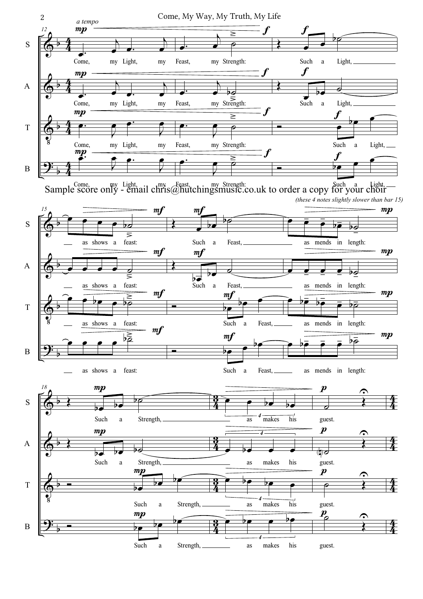